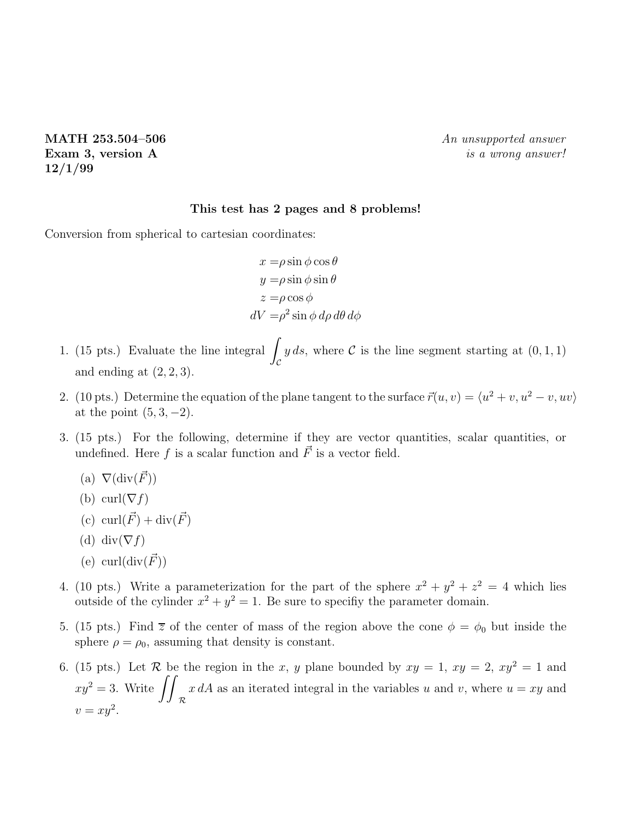**12/1/99**

## **This test has 2 pages and 8 problems!**

Conversion from spherical to cartesian coordinates:

 $x = \rho \sin \phi \cos \theta$  $y = \rho \sin \phi \sin \theta$  $z = \rho \cos \phi$  $dV = \rho^2 \sin \phi \, d\rho \, d\theta \, d\phi$ 

- 1. (15 pts.) Evaluate the line integral  $\int_{\mathcal{C}} y ds$ , where C is the line segment starting at  $(0,1,1)$  $\mathfrak{c}$ and ending at  $(2, 2, 3)$ .
- 2. (10 pts.) Determine the equation of the plane tangent to the surface  $\vec{r}(u, v) = \langle u^2 + v, u^2 v, uv \rangle$ at the point  $(5, 3, -2)$ .
- 3. (15 pts.) For the following, determine if they are vector quantities, scalar quantities, or undefined. Here f is a scalar function and  $\vec{F}$  is a vector field.
	- (a)  $\nabla(\text{div}(\vec{F}))$
	- (b) curl( $\nabla f$ )
	- (c) curl $(\vec{F})$  + div $(\vec{F})$
	- (d) div $(\nabla f)$
	- (e) curl $(\text{div}(\vec{F}))$
- 4. (10 pts.) Write a parameterization for the part of the sphere  $x^2 + y^2 + z^2 = 4$  which lies outside of the cylinder  $x^2 + y^2 = 1$ . Be sure to specifiy the parameter domain.
- 5. (15 pts.) Find  $\overline{z}$  of the center of mass of the region above the cone  $\phi = \phi_0$  but inside the sphere  $\rho = \rho_0$ , assuming that density is constant.
- 6. (15 pts.) Let R be the region in the x, y plane bounded by  $xy = 1$ ,  $xy = 2$ ,  $xy^2 = 1$  and  $xy^2 = 3$ . Write  $\int$ R  $x dA$  as an iterated integral in the variables u and v, where  $u = xy$  and  $v = xy^2$ .